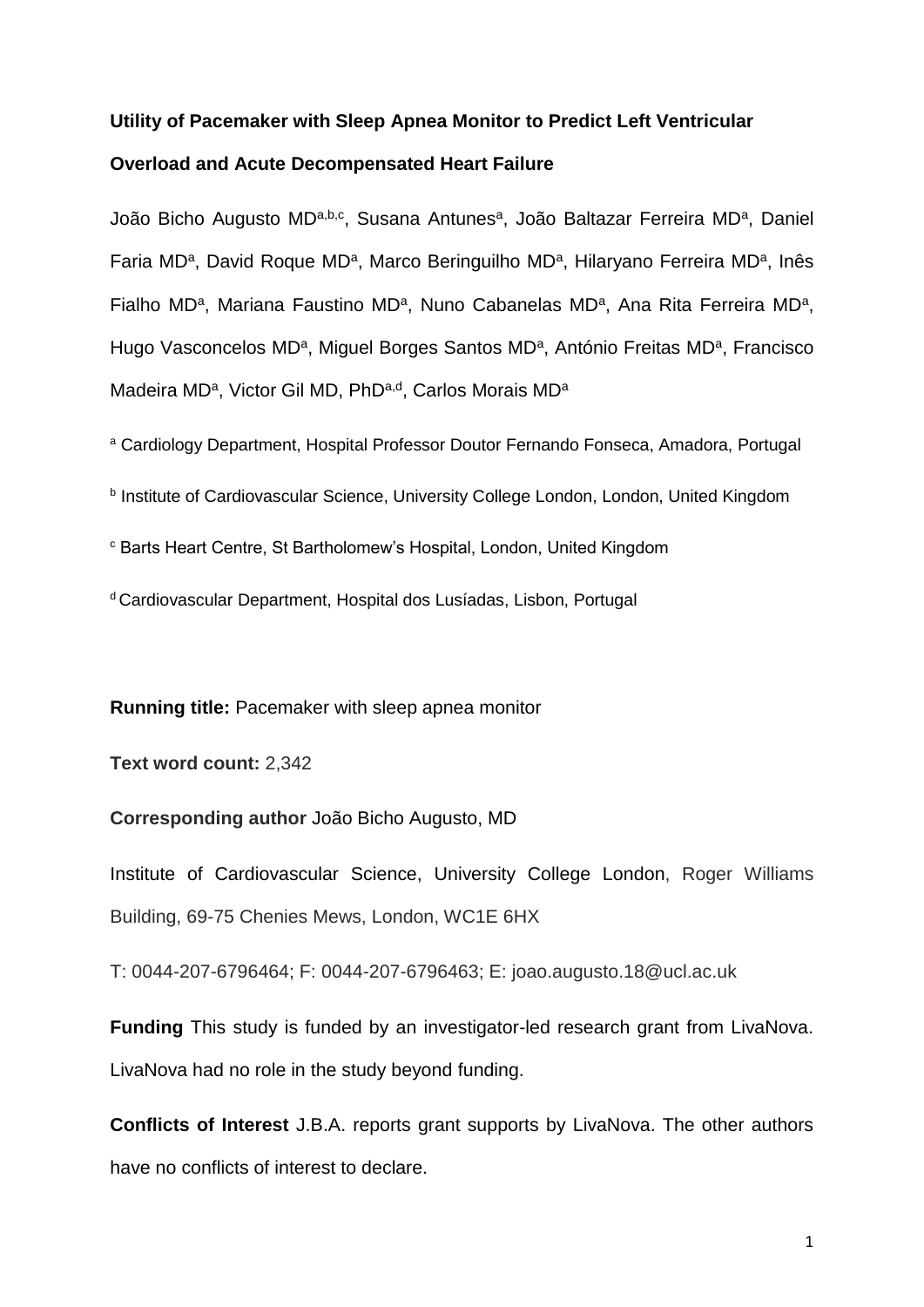# **Utility of Pacemaker with Sleep Apnea Monitor to Predict Left Ventricular Overload and Acute Decompensated Heart Failure**

João Bicho Augusto MD<sup>a,b,c</sup>, Susana Antunes<sup>a</sup>, João Baltazar Ferreira MD<sup>a</sup>, Daniel Faria MD<sup>a</sup>, David Roque MD<sup>a</sup>, Marco Beringuilho MD<sup>a</sup>, Hilaryano Ferreira MD<sup>a</sup>, Inês Fialho MD<sup>a</sup>, Mariana Faustino MD<sup>a</sup>, Nuno Cabanelas MD<sup>a</sup>, Ana Rita Ferreira MD<sup>a</sup>, Hugo Vasconcelos MD<sup>a</sup>, Miguel Borges Santos MD<sup>a</sup>, António Freitas MD<sup>a</sup>, Francisco Madeira MD<sup>a</sup>, Victor Gil MD, PhD<sup>a,d</sup>, Carlos Morais MD<sup>a</sup>

<sup>a</sup> Cardiology Department, Hospital Professor Doutor Fernando Fonseca, Amadora, Portugal

**b Institute of Cardiovascular Science, University College London, London, United Kingdom** 

<sup>c</sup> Barts Heart Centre, St Bartholomew's Hospital, London, United Kingdom

<sup>d</sup> Cardiovascular Department, Hospital dos Lusíadas, Lisbon, Portugal

**Running title:** Pacemaker with sleep apnea monitor

**Text word count:** 2,342

**Corresponding author** João Bicho Augusto, MD

Institute of Cardiovascular Science, University College London, Roger Williams Building, 69-75 Chenies Mews, London, WC1E 6HX

T: 0044-207-6796464; F: 0044-207-6796463; E: joao.augusto.18@ucl.ac.uk

**Funding** This study is funded by an investigator-led research grant from LivaNova. LivaNova had no role in the study beyond funding.

**Conflicts of Interest** J.B.A. reports grant supports by LivaNova. The other authors have no conflicts of interest to declare.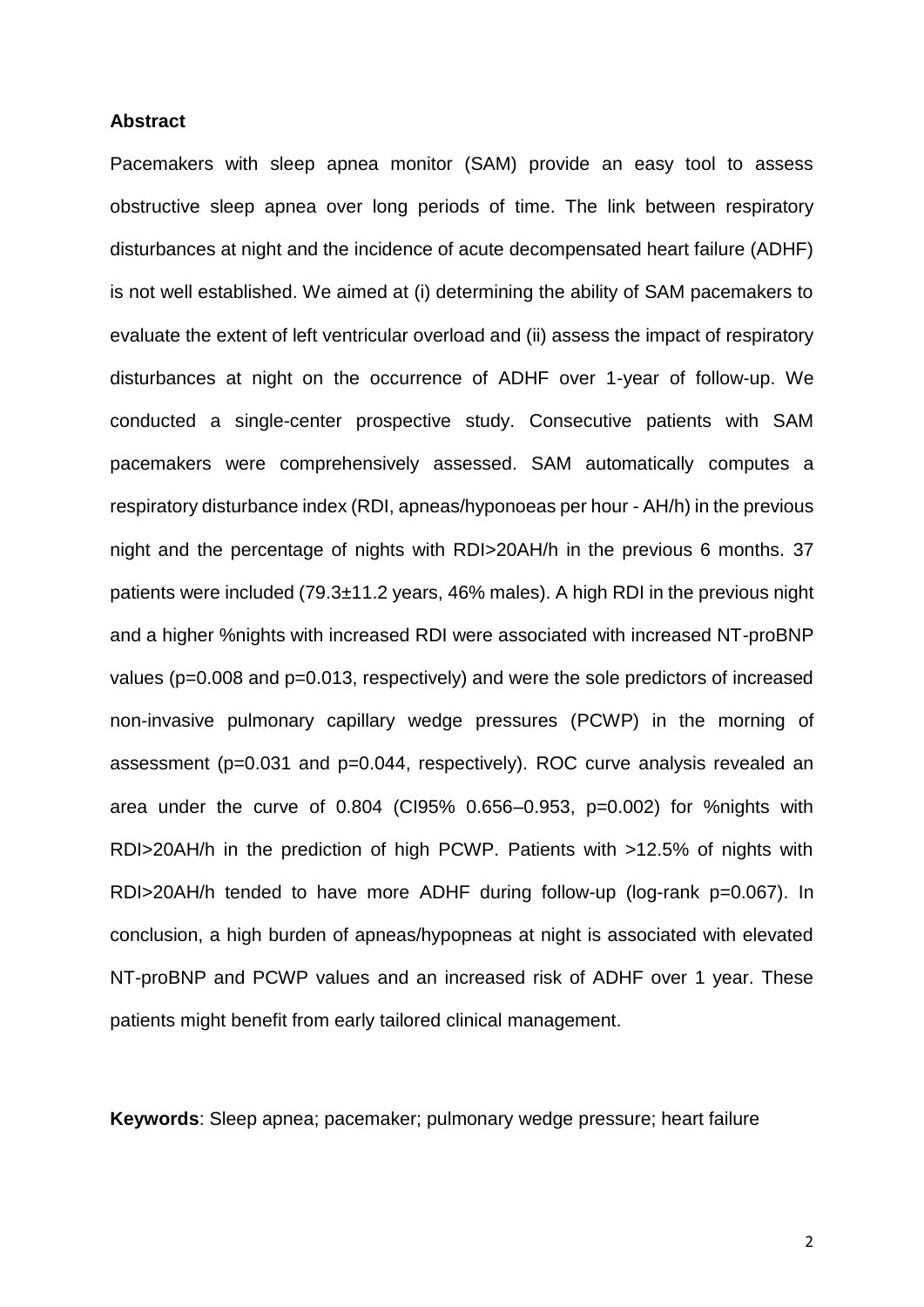## **Abstract**

Pacemakers with sleep apnea monitor (SAM) provide an easy tool to assess obstructive sleep apnea over long periods of time. The link between respiratory disturbances at night and the incidence of acute decompensated heart failure (ADHF) is not well established. We aimed at (i) determining the ability of SAM pacemakers to evaluate the extent of left ventricular overload and (ii) assess the impact of respiratory disturbances at night on the occurrence of ADHF over 1-year of follow-up. We conducted a single-center prospective study. Consecutive patients with SAM pacemakers were comprehensively assessed. SAM automatically computes a respiratory disturbance index (RDI, apneas/hyponoeas per hour - AH/h) in the previous night and the percentage of nights with RDI>20AH/h in the previous 6 months. 37 patients were included (79.3±11.2 years, 46% males). A high RDI in the previous night and a higher %nights with increased RDI were associated with increased NT-proBNP values (p=0.008 and p=0.013, respectively) and were the sole predictors of increased non-invasive pulmonary capillary wedge pressures (PCWP) in the morning of assessment (p=0.031 and p=0.044, respectively). ROC curve analysis revealed an area under the curve of 0.804 (CI95% 0.656–0.953, p=0.002) for %nights with RDI>20AH/h in the prediction of high PCWP. Patients with >12.5% of nights with RDI>20AH/h tended to have more ADHF during follow-up (log-rank p=0.067). In conclusion, a high burden of apneas/hypopneas at night is associated with elevated NT-proBNP and PCWP values and an increased risk of ADHF over 1 year. These patients might benefit from early tailored clinical management.

**Keywords**: Sleep apnea; pacemaker; pulmonary wedge pressure; heart failure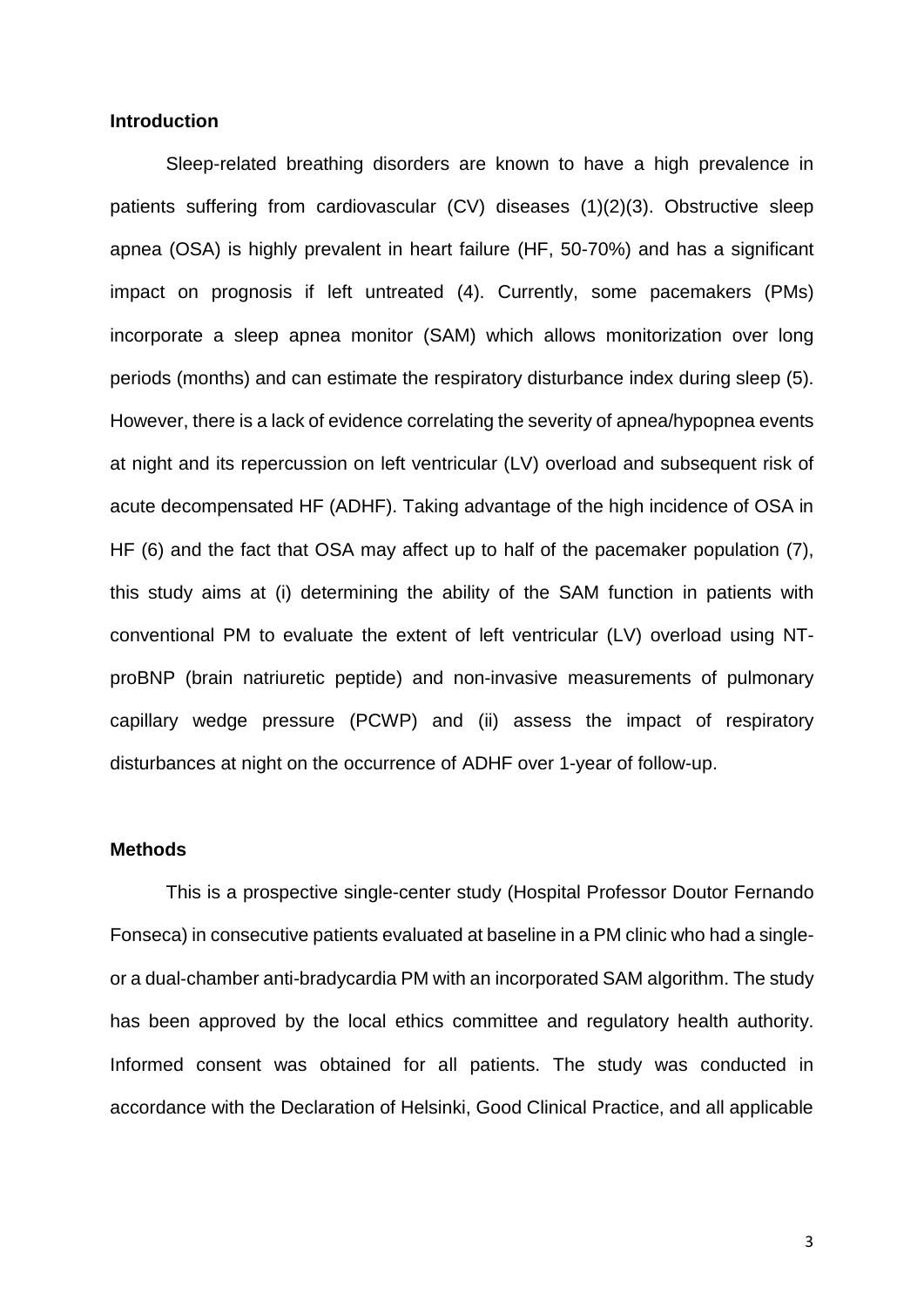## **Introduction**

Sleep-related breathing disorders are known to have a high prevalence in patients suffering from cardiovascular (CV) diseases (1)(2)(3). Obstructive sleep apnea (OSA) is highly prevalent in heart failure (HF, 50-70%) and has a significant impact on prognosis if left untreated (4). Currently, some pacemakers (PMs) incorporate a sleep apnea monitor (SAM) which allows monitorization over long periods (months) and can estimate the respiratory disturbance index during sleep (5). However, there is a lack of evidence correlating the severity of apnea/hypopnea events at night and its repercussion on left ventricular (LV) overload and subsequent risk of acute decompensated HF (ADHF). Taking advantage of the high incidence of OSA in HF (6) and the fact that OSA may affect up to half of the pacemaker population (7), this study aims at (i) determining the ability of the SAM function in patients with conventional PM to evaluate the extent of left ventricular (LV) overload using NTproBNP (brain natriuretic peptide) and non-invasive measurements of pulmonary capillary wedge pressure (PCWP) and (ii) assess the impact of respiratory disturbances at night on the occurrence of ADHF over 1-year of follow-up.

## **Methods**

This is a prospective single-center study (Hospital Professor Doutor Fernando Fonseca) in consecutive patients evaluated at baseline in a PM clinic who had a singleor a dual‐chamber anti-bradycardia PM with an incorporated SAM algorithm. The study has been approved by the local ethics committee and regulatory health authority. Informed consent was obtained for all patients. The study was conducted in accordance with the Declaration of Helsinki, Good Clinical Practice, and all applicable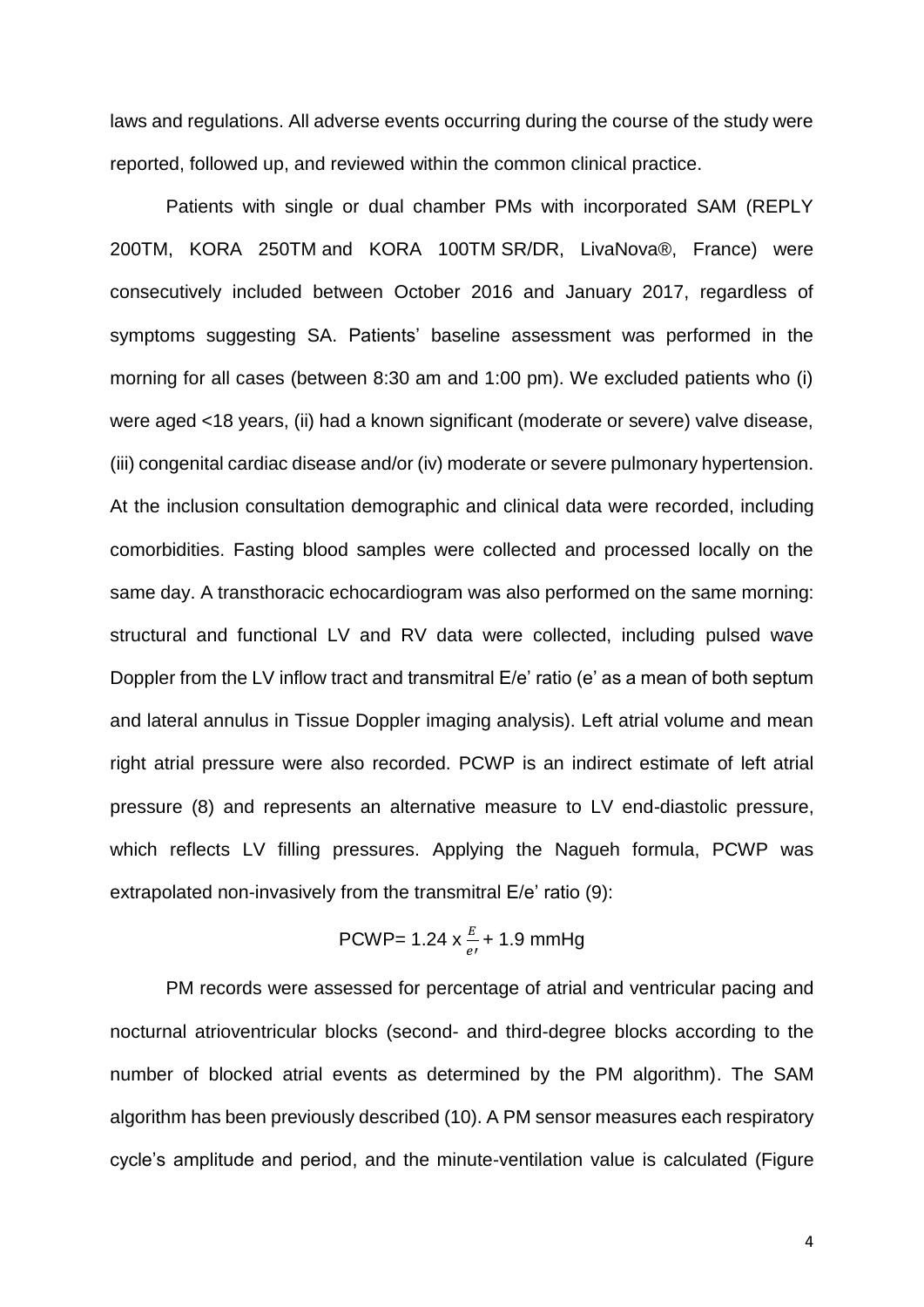laws and regulations. All adverse events occurring during the course of the study were reported, followed up, and reviewed within the common clinical practice.

Patients with single or dual chamber PMs with incorporated SAM (REPLY 200TM, KORA 250TM and KORA 100TM SR/DR, LivaNova®, France) were consecutively included between October 2016 and January 2017, regardless of symptoms suggesting SA. Patients' baseline assessment was performed in the morning for all cases (between 8:30 am and 1:00 pm). We excluded patients who (i) were aged <18 years, (ii) had a known significant (moderate or severe) valve disease, (iii) congenital cardiac disease and/or (iv) moderate or severe pulmonary hypertension. At the inclusion consultation demographic and clinical data were recorded, including comorbidities. Fasting blood samples were collected and processed locally on the same day. A transthoracic echocardiogram was also performed on the same morning: structural and functional LV and RV data were collected, including pulsed wave Doppler from the LV inflow tract and transmitral E/e' ratio (e' as a mean of both septum and lateral annulus in Tissue Doppler imaging analysis). Left atrial volume and mean right atrial pressure were also recorded. PCWP is an indirect estimate of left atrial pressure (8) and represents an alternative measure to LV end-diastolic pressure, which reflects LV filling pressures. Applying the Nagueh formula, PCWP was extrapolated non-invasively from the transmitral E/e' ratio (9):

PCWP= 1.24 x 
$$
\frac{E}{e}
$$
 + 1.9 mmHg

PM records were assessed for percentage of atrial and ventricular pacing and nocturnal atrioventricular blocks (second- and third-degree blocks according to the number of blocked atrial events as determined by the PM algorithm). The SAM algorithm has been previously described (10). A PM sensor measures each respiratory cycle's amplitude and period, and the minute-ventilation value is calculated (Figure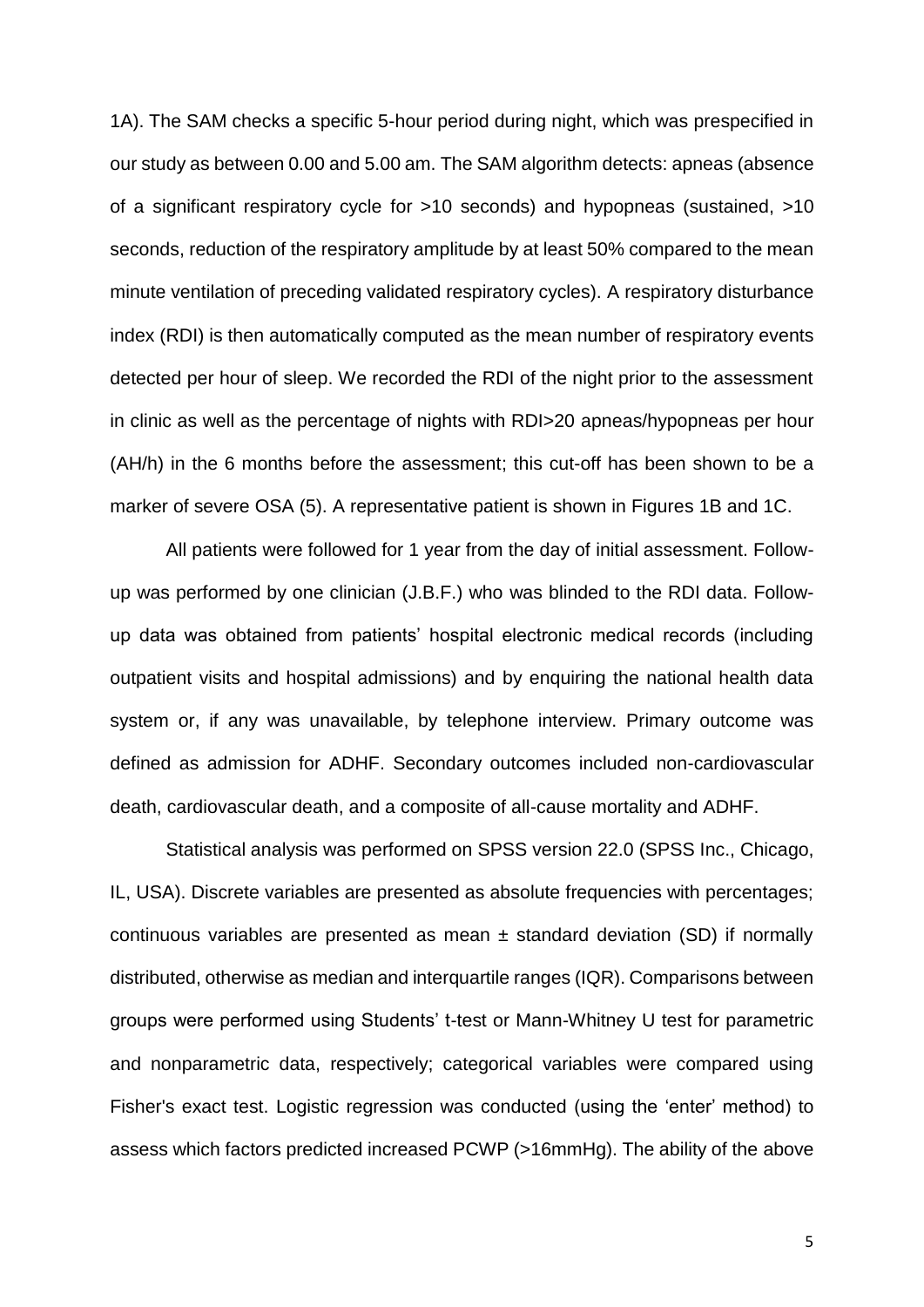1A). The SAM checks a specific 5-hour period during night, which was prespecified in our study as between 0.00 and 5.00 am. The SAM algorithm detects: apneas (absence of a significant respiratory cycle for >10 seconds) and hypopneas (sustained, >10 seconds, reduction of the respiratory amplitude by at least 50% compared to the mean minute ventilation of preceding validated respiratory cycles). A respiratory disturbance index (RDI) is then automatically computed as the mean number of respiratory events detected per hour of sleep. We recorded the RDI of the night prior to the assessment in clinic as well as the percentage of nights with RDI>20 apneas/hypopneas per hour (AH/h) in the 6 months before the assessment; this cut-off has been shown to be a marker of severe OSA (5). A representative patient is shown in Figures 1B and 1C.

All patients were followed for 1 year from the day of initial assessment. Followup was performed by one clinician (J.B.F.) who was blinded to the RDI data. Followup data was obtained from patients' hospital electronic medical records (including outpatient visits and hospital admissions) and by enquiring the national health data system or, if any was unavailable, by telephone interview. Primary outcome was defined as admission for ADHF. Secondary outcomes included non-cardiovascular death, cardiovascular death, and a composite of all-cause mortality and ADHF.

Statistical analysis was performed on SPSS version 22.0 (SPSS Inc., Chicago, IL, USA). Discrete variables are presented as absolute frequencies with percentages; continuous variables are presented as mean  $\pm$  standard deviation (SD) if normally distributed, otherwise as median and interquartile ranges (IQR). Comparisons between groups were performed using Students' t-test or Mann-Whitney U test for parametric and nonparametric data, respectively; categorical variables were compared using Fisher's exact test. Logistic regression was conducted (using the 'enter' method) to assess which factors predicted increased PCWP (>16mmHg). The ability of the above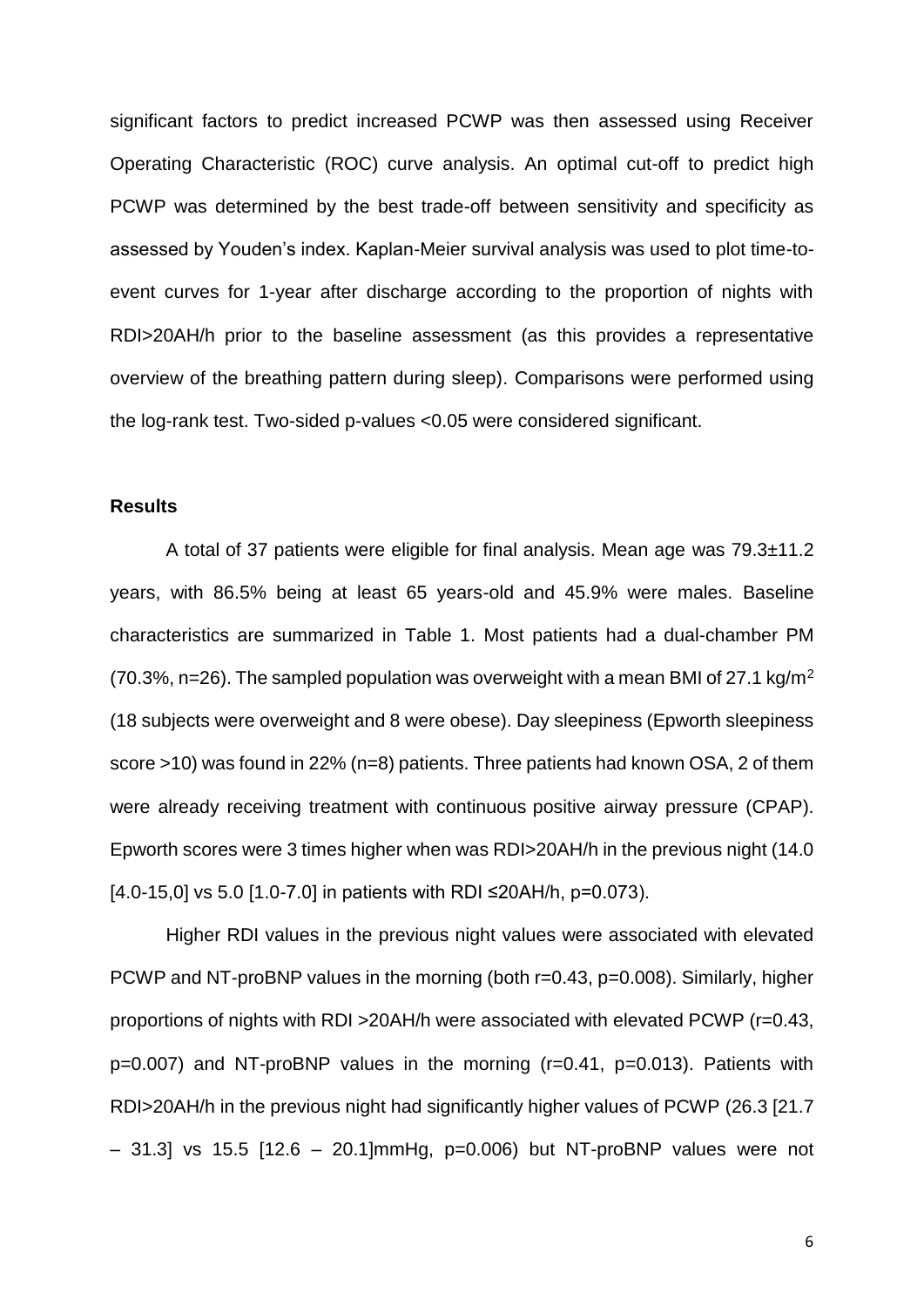significant factors to predict increased PCWP was then assessed using Receiver Operating Characteristic (ROC) curve analysis. An optimal cut-off to predict high PCWP was determined by the best trade-off between sensitivity and specificity as assessed by Youden's index. Kaplan-Meier survival analysis was used to plot time-toevent curves for 1-year after discharge according to the proportion of nights with RDI>20AH/h prior to the baseline assessment (as this provides a representative overview of the breathing pattern during sleep). Comparisons were performed using the log-rank test. Two-sided p-values <0.05 were considered significant.

## **Results**

A total of 37 patients were eligible for final analysis. Mean age was 79.3±11.2 years, with 86.5% being at least 65 years-old and 45.9% were males. Baseline characteristics are summarized in [Table 1.](#page-15-0) Most patients had a dual-chamber PM (70.3%, n=26). The sampled population was overweight with a mean BMI of 27.1 kg/m<sup>2</sup> (18 subjects were overweight and 8 were obese). Day sleepiness (Epworth sleepiness score >10) was found in 22% (n=8) patients. Three patients had known OSA, 2 of them were already receiving treatment with continuous positive airway pressure (CPAP). Epworth scores were 3 times higher when was RDI>20AH/h in the previous night (14.0 [4.0-15,0] vs 5.0 [1.0-7.0] in patients with RDI ≤20AH/h, p=0.073).

Higher RDI values in the previous night values were associated with elevated PCWP and NT-proBNP values in the morning (both r=0.43, p=0.008). Similarly, higher proportions of nights with RDI >20AH/h were associated with elevated PCWP (r=0.43, p=0.007) and NT-proBNP values in the morning (r=0.41, p=0.013). Patients with RDI>20AH/h in the previous night had significantly higher values of PCWP (26.3 [21.7 – 31.3] vs 15.5 [12.6 – 20.1]mmHg, p=0.006) but NT-proBNP values were not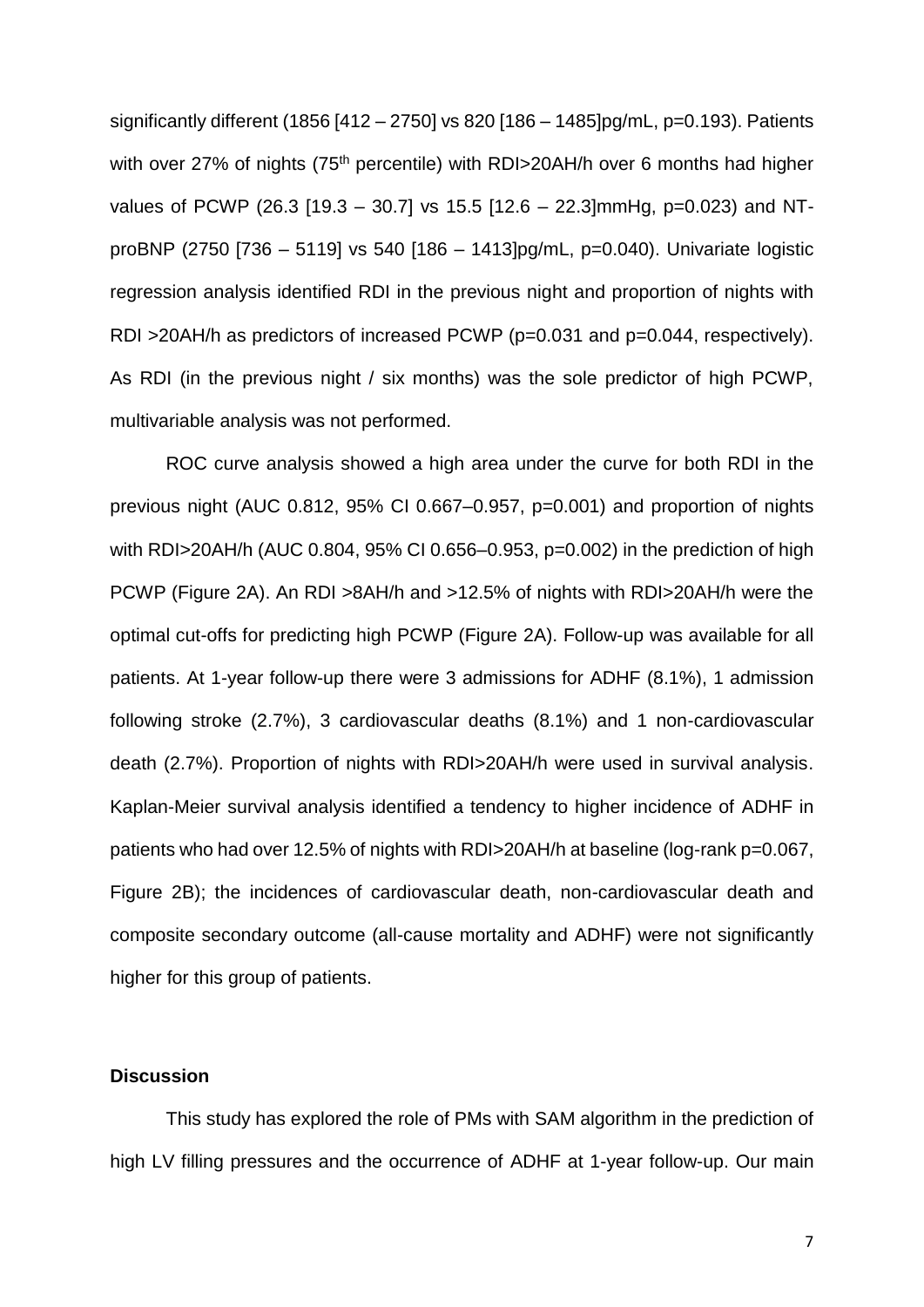significantly different (1856  $[412 - 2750]$  vs 820  $[186 - 1485]$ pg/mL, p=0.193). Patients with over 27% of nights (75<sup>th</sup> percentile) with RDI>20AH/h over 6 months had higher values of PCWP (26.3 [19.3 – 30.7] vs 15.5 [12.6 – 22.3]mmHg, p=0.023) and NTproBNP (2750 [736 – 5119] vs 540 [186 – 1413]pg/mL, p=0.040). Univariate logistic regression analysis identified RDI in the previous night and proportion of nights with RDI >20AH/h as predictors of increased PCWP (p=0.031 and p=0.044, respectively). As RDI (in the previous night / six months) was the sole predictor of high PCWP, multivariable analysis was not performed.

ROC curve analysis showed a high area under the curve for both RDI in the previous night (AUC 0.812, 95% CI 0.667–0.957, p=0.001) and proportion of nights with RDI>20AH/h (AUC 0.804, 95% CI 0.656–0.953, p=0.002) in the prediction of high PCWP (Figure 2A). An RDI >8AH/h and >12.5% of nights with RDI>20AH/h were the optimal cut-offs for predicting high PCWP (Figure 2A). Follow-up was available for all patients. At 1-year follow-up there were 3 admissions for ADHF (8.1%), 1 admission following stroke (2.7%), 3 cardiovascular deaths (8.1%) and 1 non-cardiovascular death (2.7%). Proportion of nights with RDI>20AH/h were used in survival analysis. Kaplan-Meier survival analysis identified a tendency to higher incidence of ADHF in patients who had over 12.5% of nights with RDI>20AH/h at baseline (log-rank p=0.067, Figure 2B); the incidences of cardiovascular death, non-cardiovascular death and composite secondary outcome (all-cause mortality and ADHF) were not significantly higher for this group of patients.

#### **Discussion**

This study has explored the role of PMs with SAM algorithm in the prediction of high LV filling pressures and the occurrence of ADHF at 1-year follow-up. Our main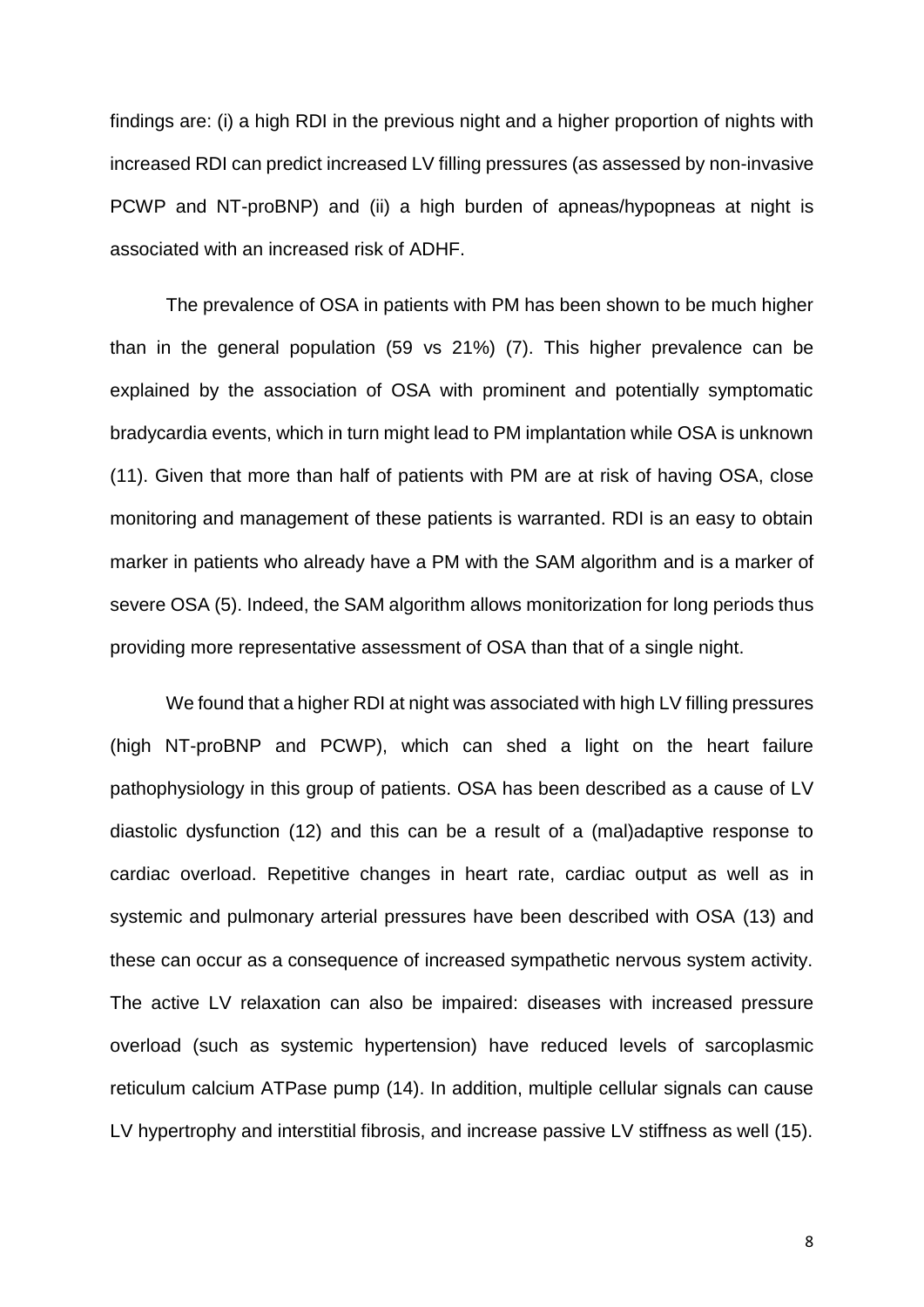findings are: (i) a high RDI in the previous night and a higher proportion of nights with increased RDI can predict increased LV filling pressures (as assessed by non-invasive PCWP and NT-proBNP) and (ii) a high burden of apneas/hypopneas at night is associated with an increased risk of ADHF.

The prevalence of OSA in patients with PM has been shown to be much higher than in the general population (59 vs 21%) (7). This higher prevalence can be explained by the association of OSA with prominent and potentially symptomatic bradycardia events, which in turn might lead to PM implantation while OSA is unknown (11). Given that more than half of patients with PM are at risk of having OSA, close monitoring and management of these patients is warranted. RDI is an easy to obtain marker in patients who already have a PM with the SAM algorithm and is a marker of severe OSA (5). Indeed, the SAM algorithm allows monitorization for long periods thus providing more representative assessment of OSA than that of a single night.

We found that a higher RDI at night was associated with high LV filling pressures (high NT-proBNP and PCWP), which can shed a light on the heart failure pathophysiology in this group of patients. OSA has been described as a cause of LV diastolic dysfunction (12) and this can be a result of a (mal)adaptive response to cardiac overload. Repetitive changes in heart rate, cardiac output as well as in systemic and pulmonary arterial pressures have been described with OSA (13) and these can occur as a consequence of increased sympathetic nervous system activity. The active LV relaxation can also be impaired: diseases with increased pressure overload (such as systemic hypertension) have reduced levels of sarcoplasmic reticulum calcium ATPase pump (14). In addition, multiple cellular signals can cause LV hypertrophy and interstitial fibrosis, and increase passive LV stiffness as well (15).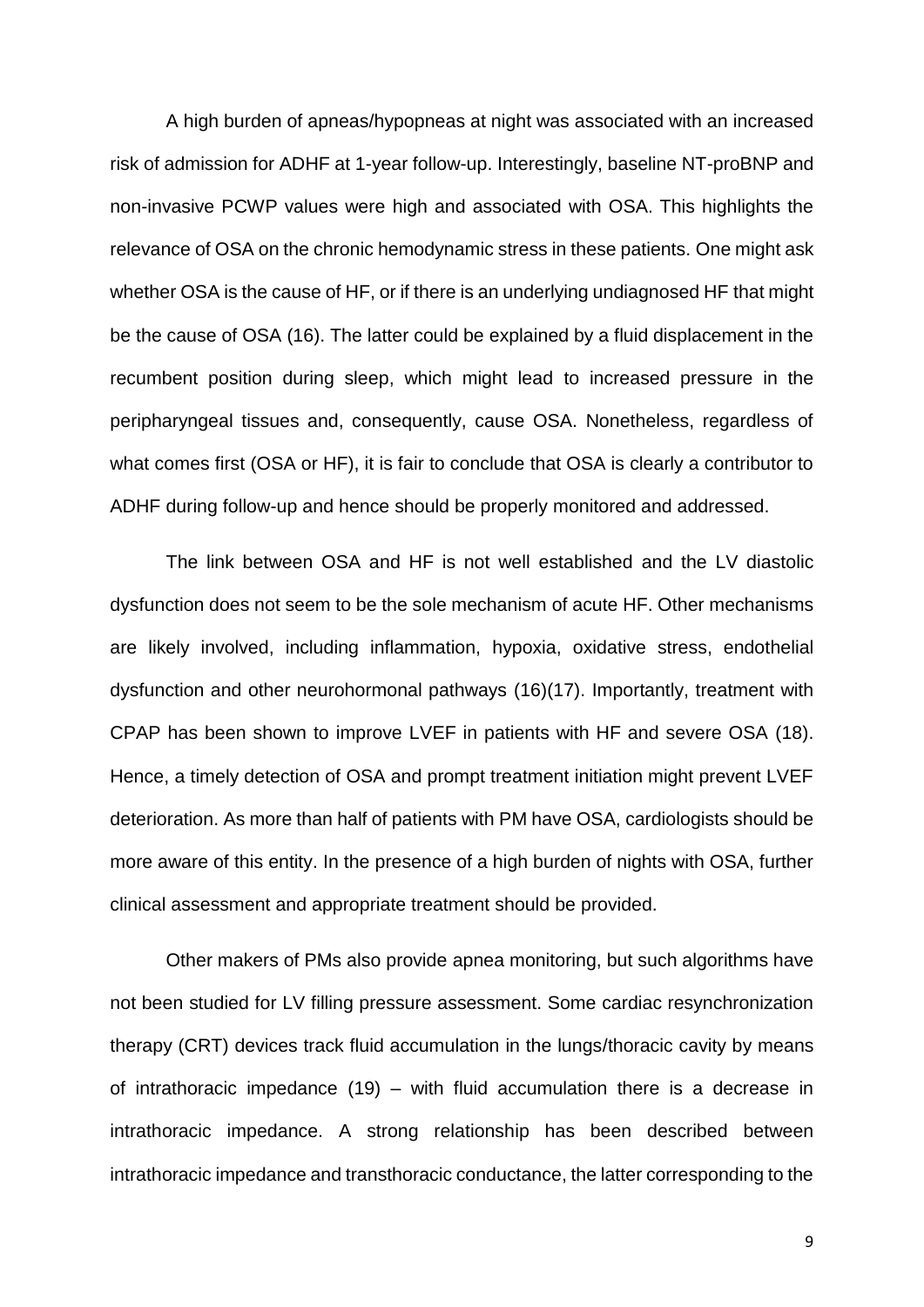A high burden of apneas/hypopneas at night was associated with an increased risk of admission for ADHF at 1-year follow-up. Interestingly, baseline NT-proBNP and non-invasive PCWP values were high and associated with OSA. This highlights the relevance of OSA on the chronic hemodynamic stress in these patients. One might ask whether OSA is the cause of HF, or if there is an underlying undiagnosed HF that might be the cause of OSA (16). The latter could be explained by a fluid displacement in the recumbent position during sleep, which might lead to increased pressure in the peripharyngeal tissues and, consequently, cause OSA. Nonetheless, regardless of what comes first (OSA or HF), it is fair to conclude that OSA is clearly a contributor to ADHF during follow-up and hence should be properly monitored and addressed.

The link between OSA and HF is not well established and the LV diastolic dysfunction does not seem to be the sole mechanism of acute HF. Other mechanisms are likely involved, including inflammation, hypoxia, oxidative stress, endothelial dysfunction and other neurohormonal pathways (16)(17). Importantly, treatment with CPAP has been shown to improve LVEF in patients with HF and severe OSA (18). Hence, a timely detection of OSA and prompt treatment initiation might prevent LVEF deterioration. As more than half of patients with PM have OSA, cardiologists should be more aware of this entity. In the presence of a high burden of nights with OSA, further clinical assessment and appropriate treatment should be provided.

Other makers of PMs also provide apnea monitoring, but such algorithms have not been studied for LV filling pressure assessment. Some cardiac resynchronization therapy (CRT) devices track fluid accumulation in the lungs/thoracic cavity by means of intrathoracic impedance (19) – with fluid accumulation there is a decrease in intrathoracic impedance. A strong relationship has been described between intrathoracic impedance and transthoracic conductance, the latter corresponding to the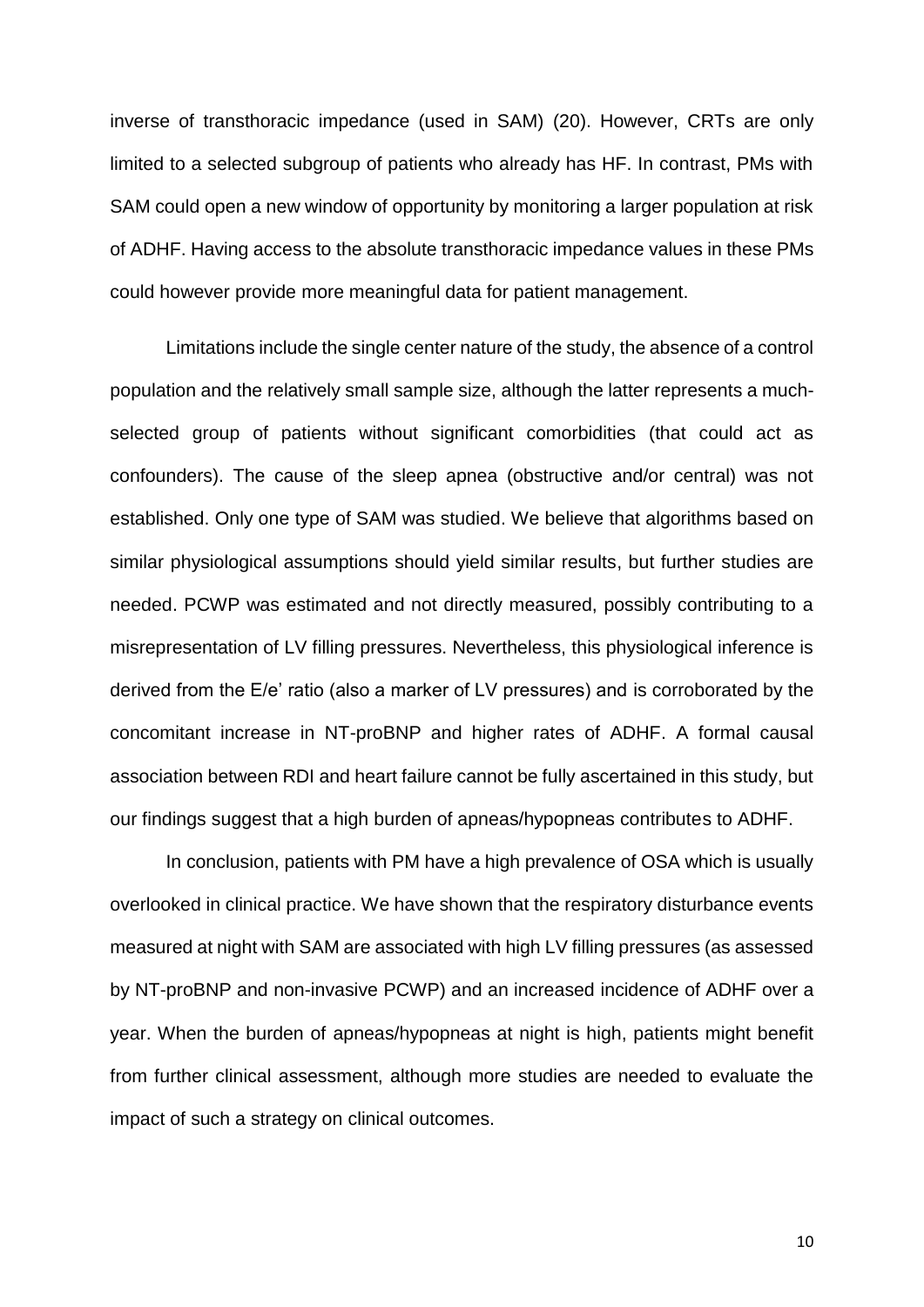inverse of transthoracic impedance (used in SAM) (20). However, CRTs are only limited to a selected subgroup of patients who already has HF. In contrast, PMs with SAM could open a new window of opportunity by monitoring a larger population at risk of ADHF. Having access to the absolute transthoracic impedance values in these PMs could however provide more meaningful data for patient management.

Limitations include the single center nature of the study, the absence of a control population and the relatively small sample size, although the latter represents a muchselected group of patients without significant comorbidities (that could act as confounders). The cause of the sleep apnea (obstructive and/or central) was not established. Only one type of SAM was studied. We believe that algorithms based on similar physiological assumptions should yield similar results, but further studies are needed. PCWP was estimated and not directly measured, possibly contributing to a misrepresentation of LV filling pressures. Nevertheless, this physiological inference is derived from the E/e' ratio (also a marker of LV pressures) and is corroborated by the concomitant increase in NT-proBNP and higher rates of ADHF. A formal causal association between RDI and heart failure cannot be fully ascertained in this study, but our findings suggest that a high burden of apneas/hypopneas contributes to ADHF.

In conclusion, patients with PM have a high prevalence of OSA which is usually overlooked in clinical practice. We have shown that the respiratory disturbance events measured at night with SAM are associated with high LV filling pressures (as assessed by NT-proBNP and non-invasive PCWP) and an increased incidence of ADHF over a year. When the burden of apneas/hypopneas at night is high, patients might benefit from further clinical assessment, although more studies are needed to evaluate the impact of such a strategy on clinical outcomes.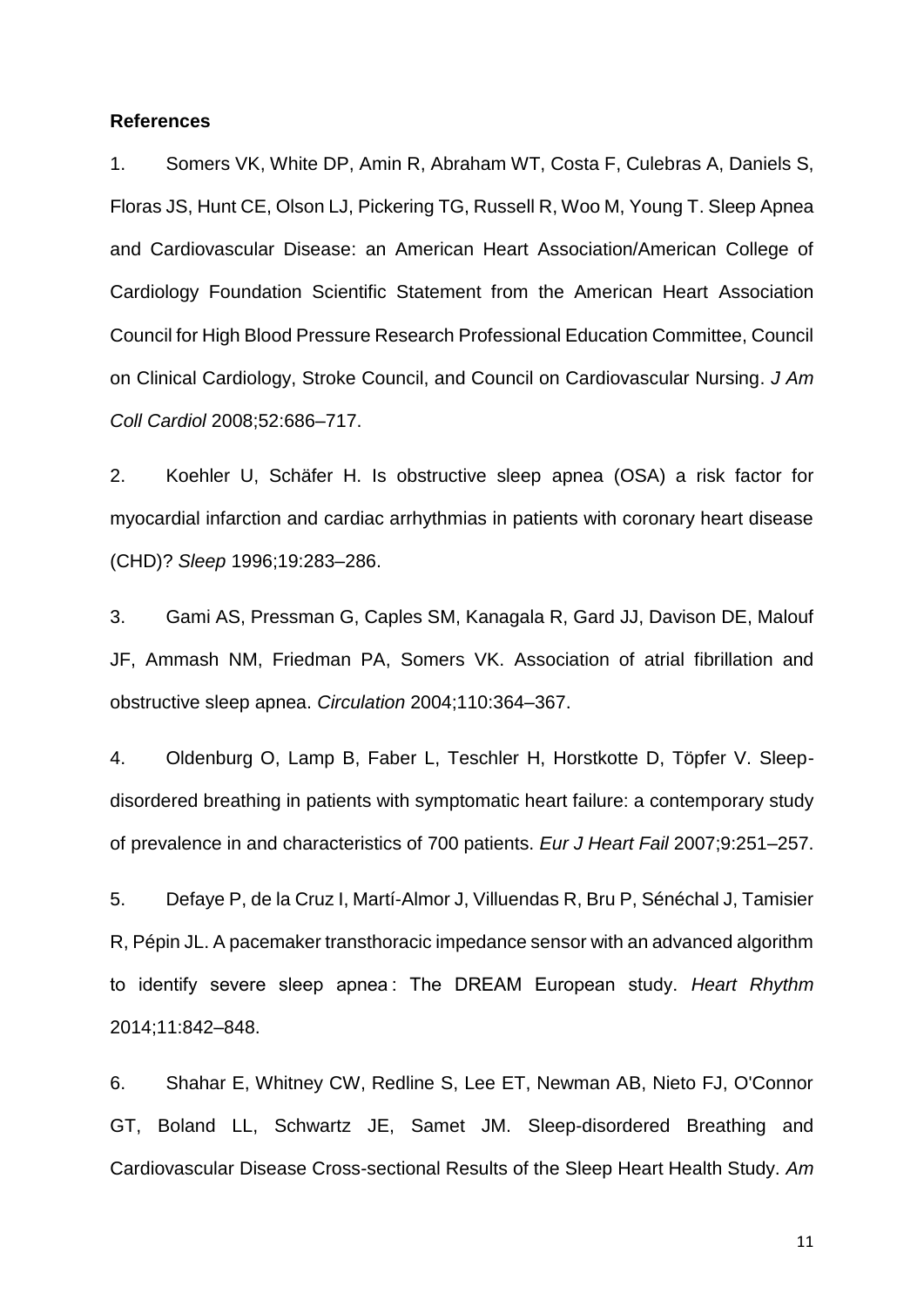#### **References**

1. Somers VK, White DP, Amin R, Abraham WT, Costa F, Culebras A, Daniels S, Floras JS, Hunt CE, Olson LJ, Pickering TG, Russell R, Woo M, Young T. Sleep Apnea and Cardiovascular Disease: an American Heart Association/American College of Cardiology Foundation Scientific Statement from the American Heart Association Council for High Blood Pressure Research Professional Education Committee, Council on Clinical Cardiology, Stroke Council, and Council on Cardiovascular Nursing. *J Am Coll Cardiol* 2008;52:686–717.

2. Koehler U, Schäfer H. Is obstructive sleep apnea (OSA) a risk factor for myocardial infarction and cardiac arrhythmias in patients with coronary heart disease (CHD)? *Sleep* 1996;19:283–286.

3. Gami AS, Pressman G, Caples SM, Kanagala R, Gard JJ, Davison DE, Malouf JF, Ammash NM, Friedman PA, Somers VK. Association of atrial fibrillation and obstructive sleep apnea. *Circulation* 2004;110:364–367.

4. Oldenburg O, Lamp B, Faber L, Teschler H, Horstkotte D, Töpfer V. Sleepdisordered breathing in patients with symptomatic heart failure: a contemporary study of prevalence in and characteristics of 700 patients. *Eur J Heart Fail* 2007;9:251–257.

5. Defaye P, de la Cruz I, Martí-Almor J, Villuendas R, Bru P, Sénéchal J, Tamisier R, Pépin JL. A pacemaker transthoracic impedance sensor with an advanced algorithm to identify severe sleep apnea : The DREAM European study. *Heart Rhythm* 2014;11:842–848.

6. Shahar E, Whitney CW, Redline S, Lee ET, Newman AB, Nieto FJ, O'Connor GT, Boland LL, Schwartz JE, Samet JM. Sleep-disordered Breathing and Cardiovascular Disease Cross-sectional Results of the Sleep Heart Health Study. *Am*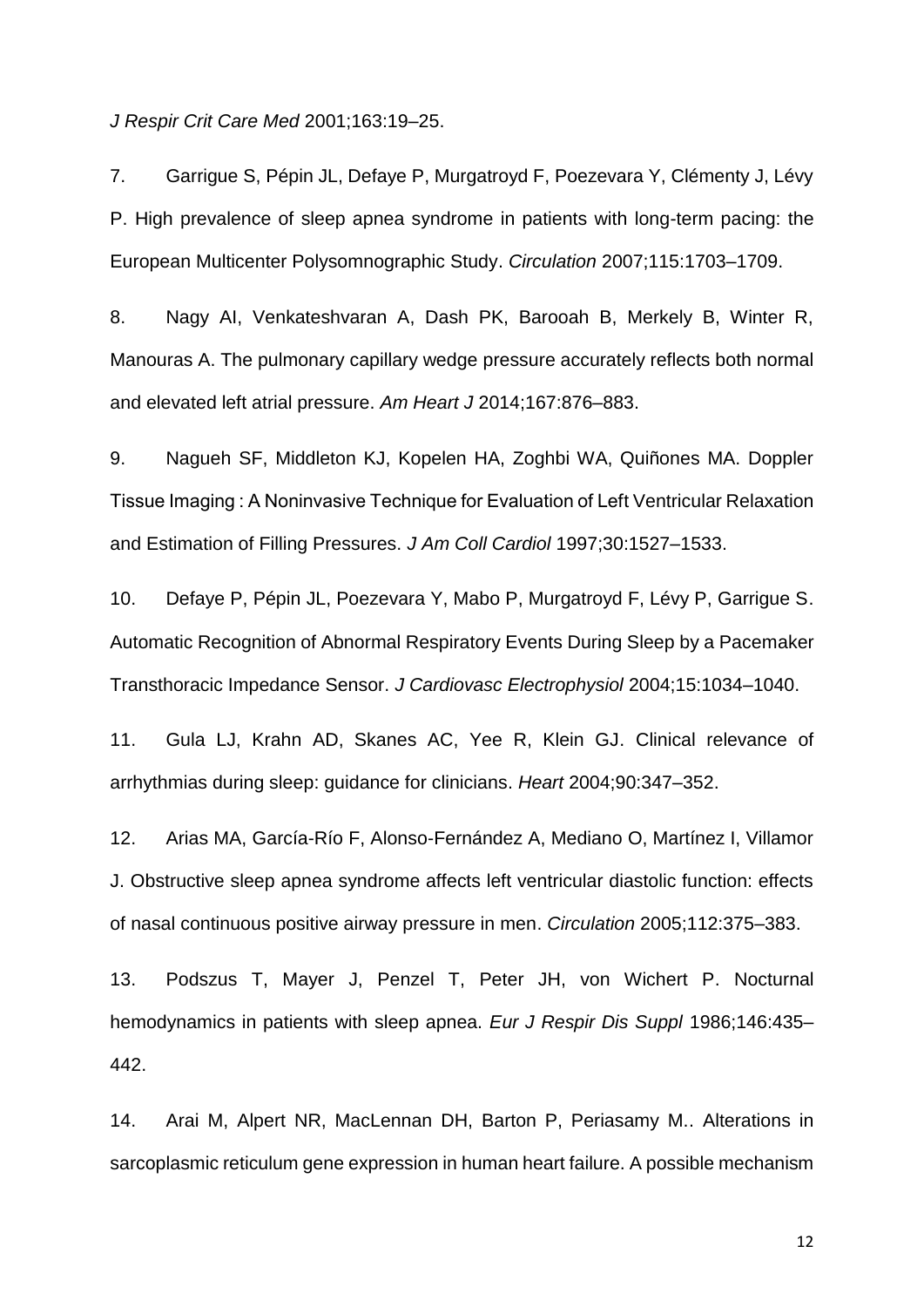*J Respir Crit Care Med* 2001;163:19–25.

7. Garrigue S, Pépin JL, Defaye P, Murgatroyd F, Poezevara Y, Clémenty J, Lévy P. High prevalence of sleep apnea syndrome in patients with long-term pacing: the European Multicenter Polysomnographic Study. *Circulation* 2007;115:1703–1709.

8. Nagy AI, Venkateshvaran A, Dash PK, Barooah B, Merkely B, Winter R, Manouras A. The pulmonary capillary wedge pressure accurately reflects both normal and elevated left atrial pressure. *Am Heart J* 2014;167:876–883.

9. Nagueh SF, Middleton KJ, Kopelen HA, Zoghbi WA, Quiñones MA. Doppler Tissue Imaging : A Noninvasive Technique for Evaluation of Left Ventricular Relaxation and Estimation of Filling Pressures. *J Am Coll Cardiol* 1997;30:1527–1533.

10. Defaye P, Pépin JL, Poezevara Y, Mabo P, Murgatroyd F, Lévy P, Garrigue S. Automatic Recognition of Abnormal Respiratory Events During Sleep by a Pacemaker Transthoracic Impedance Sensor. *J Cardiovasc Electrophysiol* 2004;15:1034–1040.

11. Gula LJ, Krahn AD, Skanes AC, Yee R, Klein GJ. Clinical relevance of arrhythmias during sleep: guidance for clinicians. *Heart* 2004;90:347–352.

12. Arias MA, García-Río F, Alonso-Fernández A, Mediano O, Martínez I, Villamor J. Obstructive sleep apnea syndrome affects left ventricular diastolic function: effects of nasal continuous positive airway pressure in men. *Circulation* 2005;112:375–383.

13. Podszus T, Mayer J, Penzel T, Peter JH, von Wichert P. Nocturnal hemodynamics in patients with sleep apnea. *Eur J Respir Dis Suppl* 1986;146:435– 442.

14. Arai M, Alpert NR, MacLennan DH, Barton P, Periasamy M.. Alterations in sarcoplasmic reticulum gene expression in human heart failure. A possible mechanism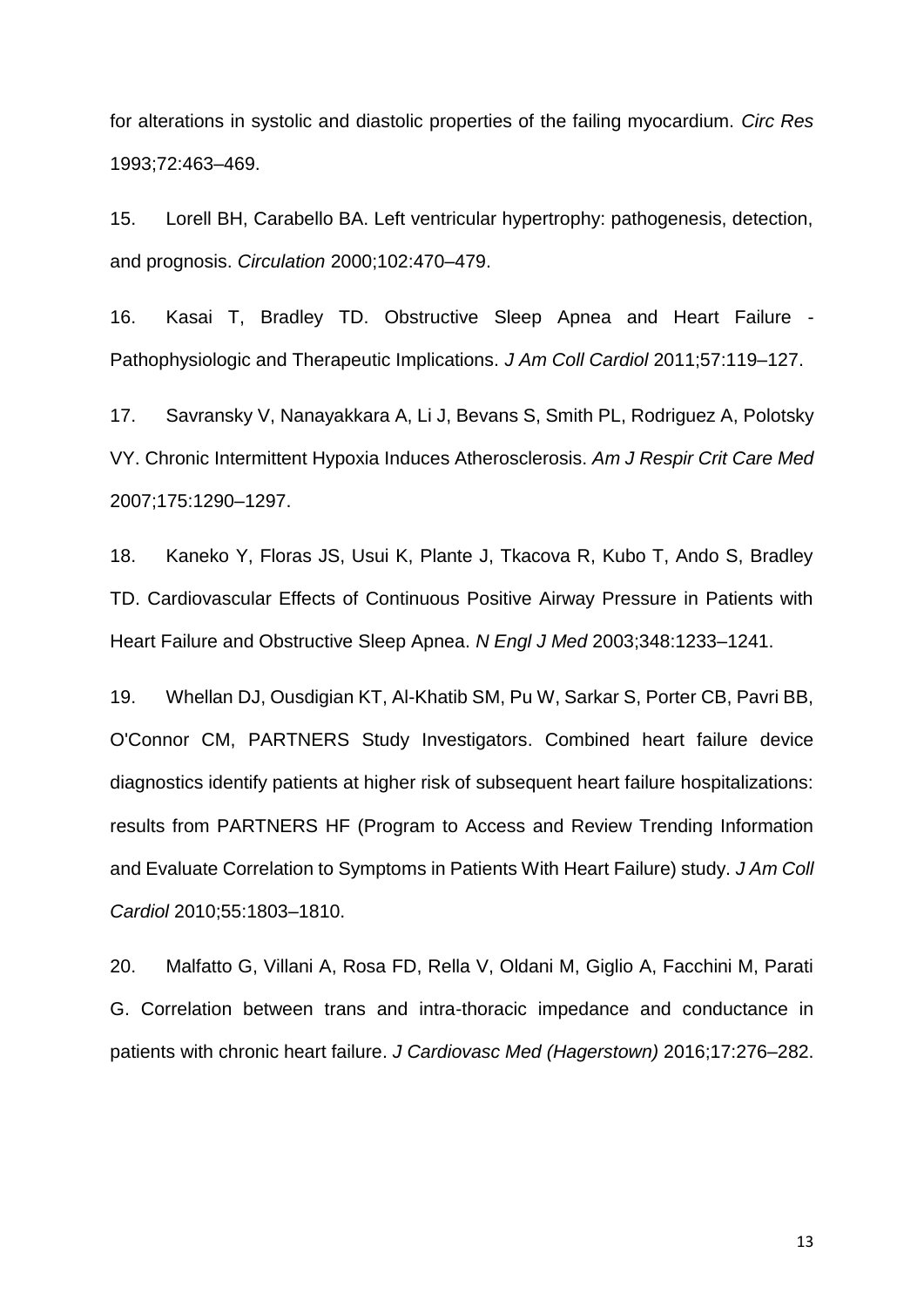for alterations in systolic and diastolic properties of the failing myocardium. *Circ Res* 1993;72:463–469.

15. Lorell BH, Carabello BA. Left ventricular hypertrophy: pathogenesis, detection, and prognosis. *Circulation* 2000;102:470–479.

16. Kasai T, Bradley TD. Obstructive Sleep Apnea and Heart Failure - Pathophysiologic and Therapeutic Implications. *J Am Coll Cardiol* 2011;57:119–127.

17. Savransky V, Nanayakkara A, Li J, Bevans S, Smith PL, Rodriguez A, Polotsky VY. Chronic Intermittent Hypoxia Induces Atherosclerosis. *Am J Respir Crit Care Med* 2007;175:1290–1297.

18. Kaneko Y, Floras JS, Usui K, Plante J, Tkacova R, Kubo T, Ando S, Bradley TD. Cardiovascular Effects of Continuous Positive Airway Pressure in Patients with Heart Failure and Obstructive Sleep Apnea. *N Engl J Med* 2003;348:1233–1241.

19. Whellan DJ, Ousdigian KT, Al-Khatib SM, Pu W, Sarkar S, Porter CB, Pavri BB, O'Connor CM, PARTNERS Study Investigators. Combined heart failure device diagnostics identify patients at higher risk of subsequent heart failure hospitalizations: results from PARTNERS HF (Program to Access and Review Trending Information and Evaluate Correlation to Symptoms in Patients With Heart Failure) study. *J Am Coll Cardiol* 2010;55:1803–1810.

20. Malfatto G, Villani A, Rosa FD, Rella V, Oldani M, Giglio A, Facchini M, Parati G. Correlation between trans and intra-thoracic impedance and conductance in patients with chronic heart failure. *J Cardiovasc Med (Hagerstown)* 2016;17:276–282.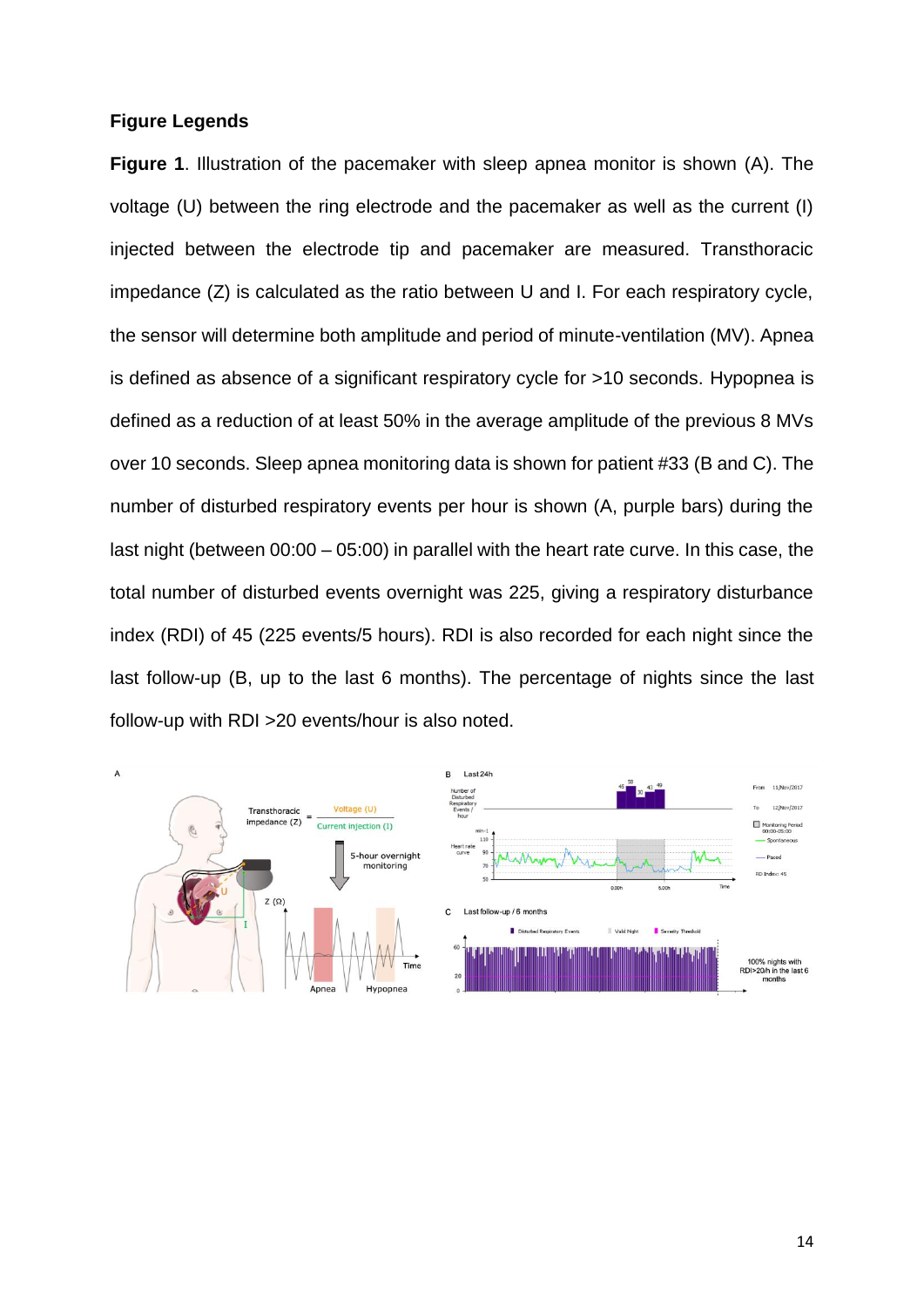## **Figure Legends**

**Figure 1**. Illustration of the pacemaker with sleep apnea monitor is shown (A). The voltage (U) between the ring electrode and the pacemaker as well as the current (I) injected between the electrode tip and pacemaker are measured. Transthoracic impedance (Z) is calculated as the ratio between U and I. For each respiratory cycle, the sensor will determine both amplitude and period of minute-ventilation (MV). Apnea is defined as absence of a significant respiratory cycle for >10 seconds. Hypopnea is defined as a reduction of at least 50% in the average amplitude of the previous 8 MVs over 10 seconds. Sleep apnea monitoring data is shown for patient #33 (B and C). The number of disturbed respiratory events per hour is shown (A, purple bars) during the last night (between 00:00 – 05:00) in parallel with the heart rate curve. In this case, the total number of disturbed events overnight was 225, giving a respiratory disturbance index (RDI) of 45 (225 events/5 hours). RDI is also recorded for each night since the last follow-up (B, up to the last 6 months). The percentage of nights since the last follow-up with RDI >20 events/hour is also noted.

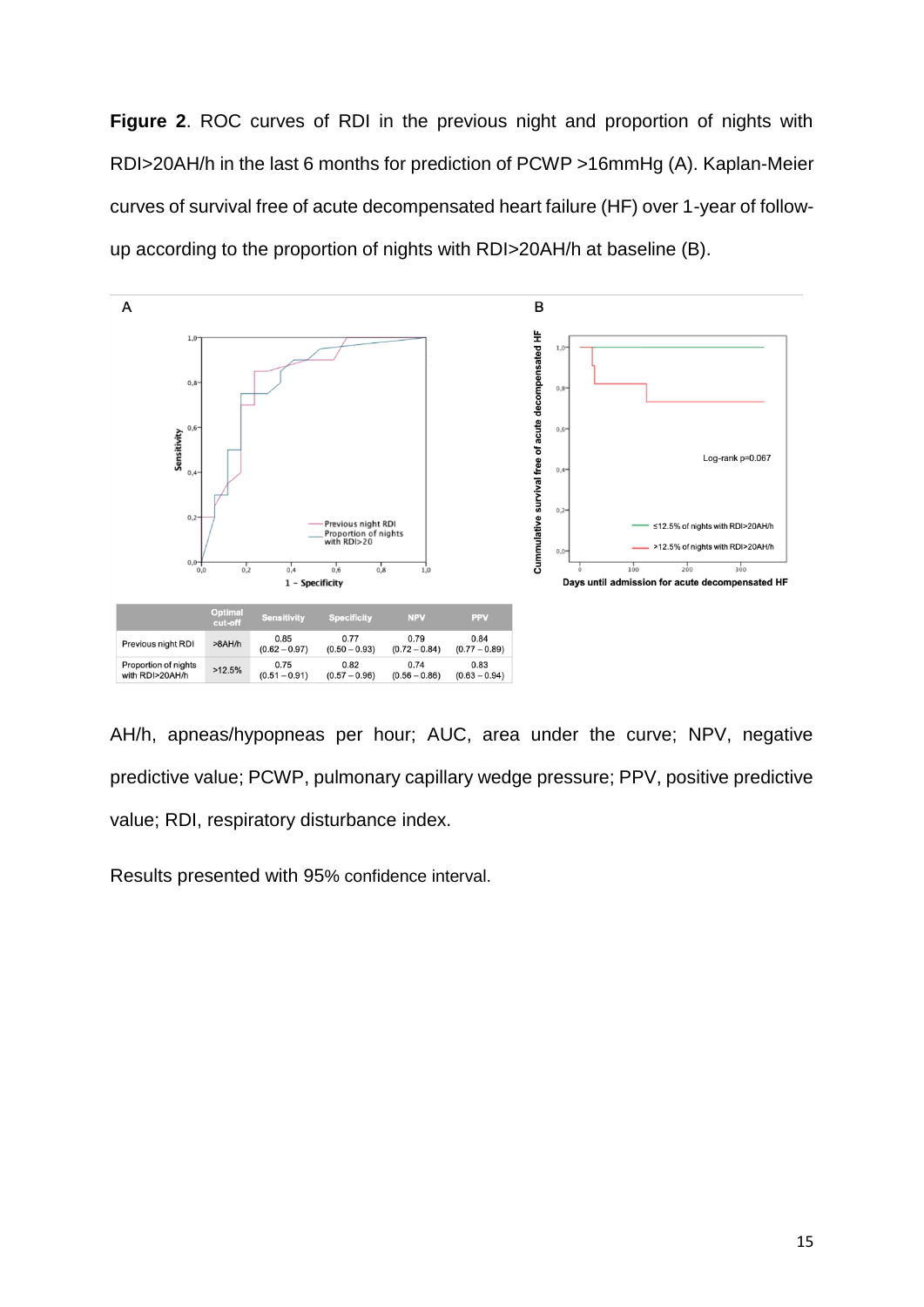**Figure 2**. ROC curves of RDI in the previous night and proportion of nights with RDI>20AH/h in the last 6 months for prediction of PCWP >16mmHg (A). Kaplan-Meier curves of survival free of acute decompensated heart failure (HF) over 1-year of followup according to the proportion of nights with RDI>20AH/h at baseline (B).



AH/h, apneas/hypopneas per hour; AUC, area under the curve; NPV, negative predictive value; PCWP, pulmonary capillary wedge pressure; PPV, positive predictive value; RDI, respiratory disturbance index.

Results presented with 95% confidence interval.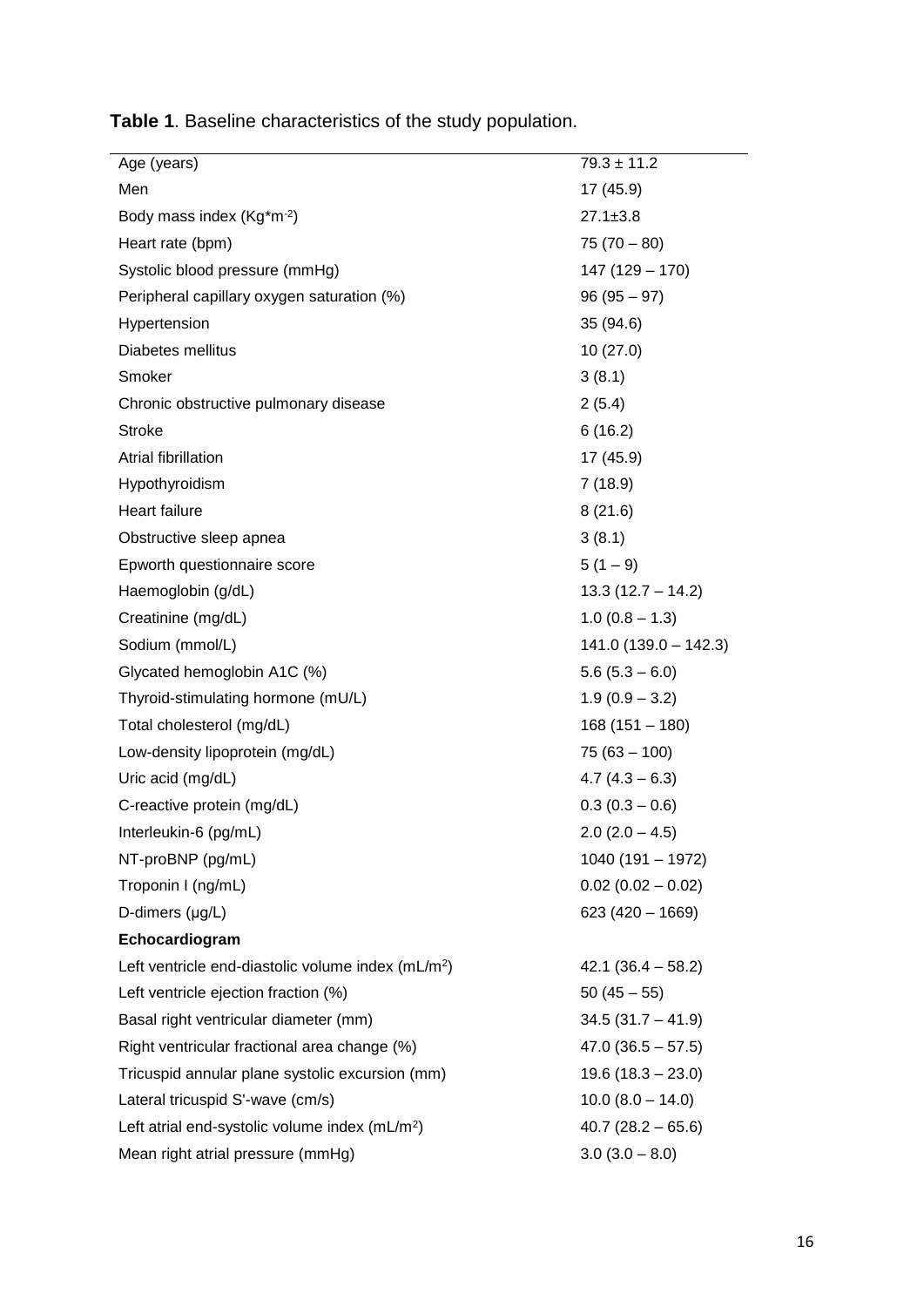| Age (years)                                                    | $79.3 \pm 11.2$        |
|----------------------------------------------------------------|------------------------|
| Men                                                            | 17 (45.9)              |
| Body mass index (Kg*m-2)                                       | $27.1 \pm 3.8$         |
| Heart rate (bpm)                                               | $75(70-80)$            |
| Systolic blood pressure (mmHg)                                 | $147(129 - 170)$       |
| Peripheral capillary oxygen saturation (%)                     | $96(95-97)$            |
| Hypertension                                                   | 35 (94.6)              |
| Diabetes mellitus                                              | 10(27.0)               |
| Smoker                                                         | 3(8.1)                 |
| Chronic obstructive pulmonary disease                          | 2(5.4)                 |
| <b>Stroke</b>                                                  | 6(16.2)                |
| Atrial fibrillation                                            | 17 (45.9)              |
| Hypothyroidism                                                 | 7(18.9)                |
| <b>Heart failure</b>                                           | 8(21.6)                |
| Obstructive sleep apnea                                        | 3(8.1)                 |
| Epworth questionnaire score                                    | $5(1 - 9)$             |
| Haemoglobin (g/dL)                                             | $13.3(12.7 - 14.2)$    |
| Creatinine (mg/dL)                                             | $1.0(0.8 - 1.3)$       |
| Sodium (mmol/L)                                                | $141.0(139.0 - 142.3)$ |
| Glycated hemoglobin A1C (%)                                    | $5.6(5.3 - 6.0)$       |
| Thyroid-stimulating hormone (mU/L)                             | $1.9(0.9 - 3.2)$       |
| Total cholesterol (mg/dL)                                      | $168(151 - 180)$       |
| Low-density lipoprotein (mg/dL)                                | $75(63 - 100)$         |
| Uric acid (mg/dL)                                              | $4.7(4.3 - 6.3)$       |
| C-reactive protein (mg/dL)                                     | $0.3(0.3 - 0.6)$       |
| Interleukin-6 (pg/mL)                                          | $2.0$ (2.0 – 4.5)      |
| NT-proBNP (pg/mL)                                              | 1040 (191 - 1972)      |
| Troponin I (ng/mL)                                             | $0.02(0.02 - 0.02)$    |
| D-dimers (µg/L)                                                | $623(420 - 1669)$      |
| Echocardiogram                                                 |                        |
| Left ventricle end-diastolic volume index (mL/m <sup>2</sup> ) | $42.1(36.4 - 58.2)$    |
| Left ventricle ejection fraction (%)                           | $50(45-55)$            |
| Basal right ventricular diameter (mm)                          | $34.5(31.7 - 41.9)$    |
| Right ventricular fractional area change (%)                   | $47.0(36.5 - 57.5)$    |
| Tricuspid annular plane systolic excursion (mm)                | $19.6(18.3 - 23.0)$    |
| Lateral tricuspid S'-wave (cm/s)                               | $10.0 (8.0 - 14.0)$    |
| Left atrial end-systolic volume index (mL/m <sup>2</sup> )     | $40.7(28.2 - 65.6)$    |
| Mean right atrial pressure (mmHg)                              | $3.0(3.0 - 8.0)$       |

<span id="page-15-0"></span>**Table 1**. Baseline characteristics of the study population.